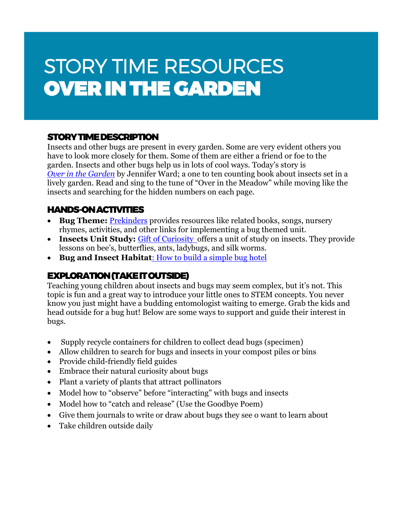# STORY TIME RESOURCES OVER IN THE GARDEN

#### STORY TIME DESCRIPTION

Insects and other bugs are present in every garden. Some are very evident others you have to look more closely for them. Some of them are either a friend or foe to the garden. Insects and other bugs help us in lots of cool ways. Today's story is *[Over in the Garden](https://www.amazon.com/Over-Garden-Jennifer-Ward/dp/0873587936)* by Jennifer Ward; a one to ten counting book about insects set in a lively garden. Read and sing to the tune of "Over in the Meadow" while moving like the insects and searching for the hidden numbers on each page.

#### HANDS-ON ACTIVITIES

- **Bug Theme:** [Prekinders](https://www.prekinders.com/bugs-theme/) provides resources like related books, songs, nursery rhymes, activities, and other links for implementing a bug themed unit.
- **Insects Unit Study:** [Gift of Curiosity o](https://kidsgardening.org/garden-activities-save-your-seeds/)ffers a unit of study on insects. They provide lessons on bee's, butterflies, ants, ladybugs, and silk worms.
- **Bug and Insect Habitat:** How to build a simple bug hotel

### EXPLORATION (TAKE IT OUTSIDE)

Teaching young children about insects and bugs may seem complex, but it's not. This topic is fun and a great way to introduce your little ones to STEM concepts. You never know you just might have a budding entomologist waiting to emerge. Grab the kids and head outside for a bug hut! Below are some ways to support and guide their interest in bugs.

- Supply recycle containers for children to collect dead bugs (specimen)
- Allow children to search for bugs and insects in your compost piles or bins
- Provide child-friendly field guides
- Embrace their natural curiosity about bugs
- Plant a variety of plants that attract pollinators
- Model how to "observe" before "interacting" with bugs and insects
- Model how to "catch and release" (Use the Goodbye Poem)
- Give them journals to write or draw about bugs they see o want to learn about
- Take children outside daily